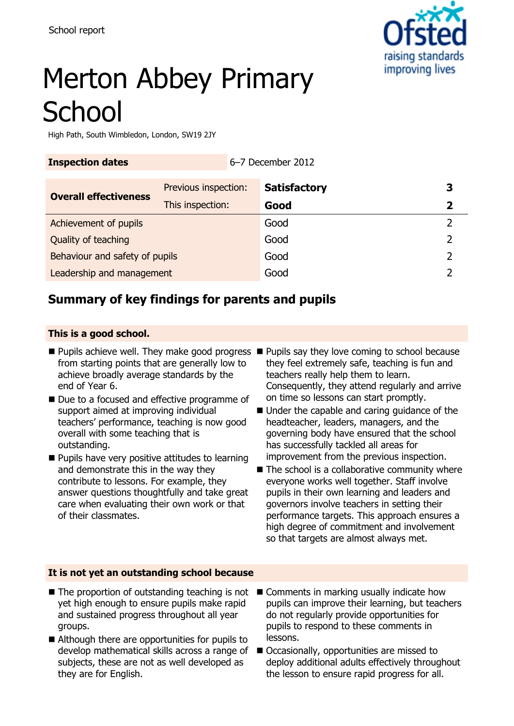

# Merton Abbey Primary **School**

**Inspection dates** 6–7 December 2012

High Path, South Wimbledon, London, SW19 2JY

| Previous inspection:           | <b>Satisfactory</b> | 3                                                |
|--------------------------------|---------------------|--------------------------------------------------|
| This inspection:               | Good                | 2                                                |
| Achievement of pupils          |                     |                                                  |
| Quality of teaching            |                     |                                                  |
| Behaviour and safety of pupils |                     |                                                  |
| Leadership and management      |                     |                                                  |
|                                |                     | 0 / DUUUNDU LUIL<br>Good<br>Good<br>Good<br>Good |

# **Summary of key findings for parents and pupils**

#### **This is a good school.**

- from starting points that are generally low to achieve broadly average standards by the end of Year 6.
- Due to a focused and effective programme of support aimed at improving individual teachers' performance, teaching is now good overall with some teaching that is outstanding.
- **Pupils have very positive attitudes to learning** and demonstrate this in the way they contribute to lessons. For example, they answer questions thoughtfully and take great care when evaluating their own work or that of their classmates.
- Pupils achieve well. They make good progress Pupils say they love coming to school because they feel extremely safe, teaching is fun and teachers really help them to learn. Consequently, they attend regularly and arrive on time so lessons can start promptly.
	- Under the capable and caring guidance of the headteacher, leaders, managers, and the governing body have ensured that the school has successfully tackled all areas for improvement from the previous inspection.
	- $\blacksquare$  The school is a collaborative community where everyone works well together. Staff involve pupils in their own learning and leaders and governors involve teachers in setting their performance targets. This approach ensures a high degree of commitment and involvement so that targets are almost always met.

#### **It is not yet an outstanding school because**

- The proportion of outstanding teaching is not Comments in marking usually indicate how yet high enough to ensure pupils make rapid and sustained progress throughout all year groups.
- Although there are opportunities for pupils to develop mathematical skills across a range of ■ Occasionally, opportunities are missed to subjects, these are not as well developed as they are for English.
- pupils can improve their learning, but teachers do not regularly provide opportunities for pupils to respond to these comments in lessons.
	- deploy additional adults effectively throughout the lesson to ensure rapid progress for all.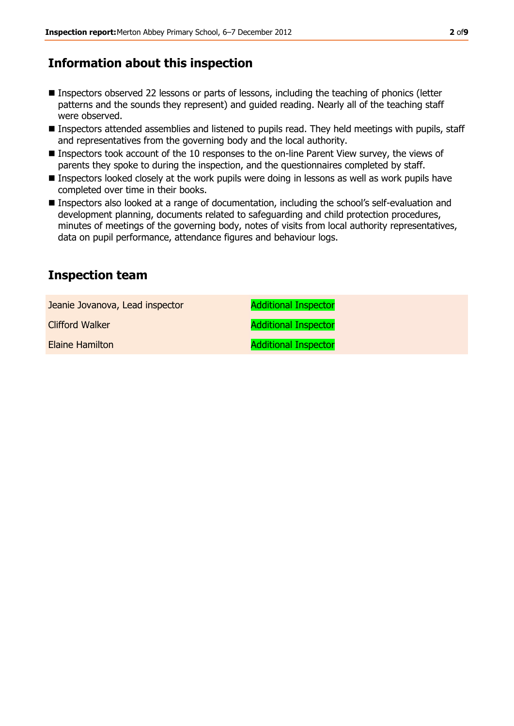# **Information about this inspection**

- Inspectors observed 22 lessons or parts of lessons, including the teaching of phonics (letter patterns and the sounds they represent) and guided reading. Nearly all of the teaching staff were observed.
- Inspectors attended assemblies and listened to pupils read. They held meetings with pupils, staff and representatives from the governing body and the local authority.
- Inspectors took account of the 10 responses to the on-line Parent View survey, the views of parents they spoke to during the inspection, and the questionnaires completed by staff.
- Inspectors looked closely at the work pupils were doing in lessons as well as work pupils have completed over time in their books.
- Inspectors also looked at a range of documentation, including the school's self-evaluation and development planning, documents related to safeguarding and child protection procedures, minutes of meetings of the governing body, notes of visits from local authority representatives, data on pupil performance, attendance figures and behaviour logs.

# **Inspection team**

| Jeanie Jovanova, Lead inspector | <b>Additional Inspector</b> |
|---------------------------------|-----------------------------|
| <b>Clifford Walker</b>          | <b>Additional Inspector</b> |
| Elaine Hamilton                 | <b>Additional Inspector</b> |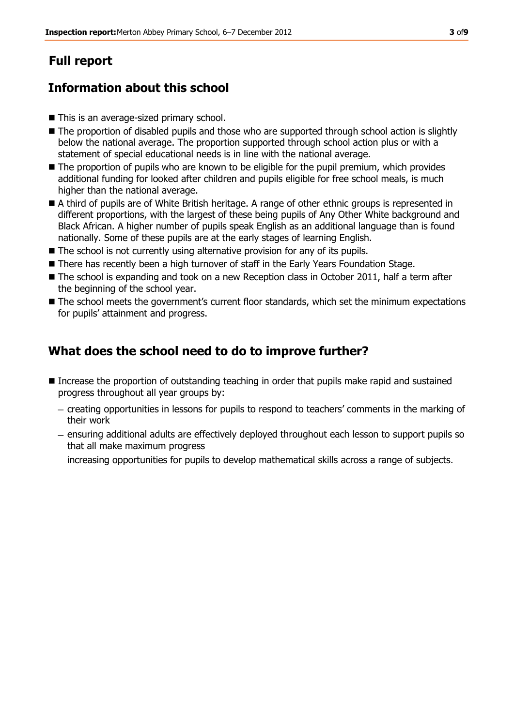# **Full report**

# **Information about this school**

- This is an average-sized primary school.
- $\blacksquare$  The proportion of disabled pupils and those who are supported through school action is slightly below the national average. The proportion supported through school action plus or with a statement of special educational needs is in line with the national average.
- The proportion of pupils who are known to be eligible for the pupil premium, which provides additional funding for looked after children and pupils eligible for free school meals, is much higher than the national average.
- A third of pupils are of White British heritage. A range of other ethnic groups is represented in different proportions, with the largest of these being pupils of Any Other White background and Black African. A higher number of pupils speak English as an additional language than is found nationally. Some of these pupils are at the early stages of learning English.
- The school is not currently using alternative provision for any of its pupils.
- There has recently been a high turnover of staff in the Early Years Foundation Stage.
- The school is expanding and took on a new Reception class in October 2011, half a term after the beginning of the school year.
- The school meets the government's current floor standards, which set the minimum expectations for pupils' attainment and progress.

# **What does the school need to do to improve further?**

- Increase the proportion of outstanding teaching in order that pupils make rapid and sustained progress throughout all year groups by:
	- creating opportunities in lessons for pupils to respond to teachers' comments in the marking of their work
	- ensuring additional adults are effectively deployed throughout each lesson to support pupils so that all make maximum progress
	- $-$  increasing opportunities for pupils to develop mathematical skills across a range of subjects.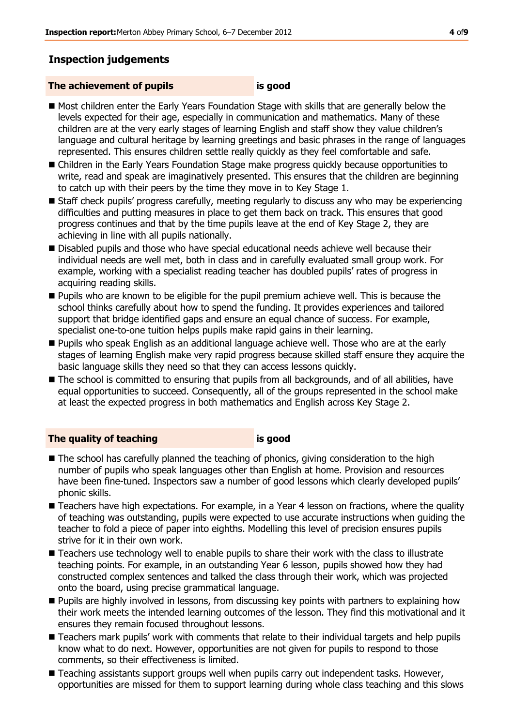### **Inspection judgements**

#### **The achievement of pupils is good**

- Most children enter the Early Years Foundation Stage with skills that are generally below the levels expected for their age, especially in communication and mathematics. Many of these children are at the very early stages of learning English and staff show they value children's language and cultural heritage by learning greetings and basic phrases in the range of languages represented. This ensures children settle really quickly as they feel comfortable and safe.
- Children in the Early Years Foundation Stage make progress quickly because opportunities to write, read and speak are imaginatively presented. This ensures that the children are beginning to catch up with their peers by the time they move in to Key Stage 1.
- Staff check pupils' progress carefully, meeting regularly to discuss any who may be experiencing difficulties and putting measures in place to get them back on track. This ensures that good progress continues and that by the time pupils leave at the end of Key Stage 2, they are achieving in line with all pupils nationally.
- **Disabled pupils and those who have special educational needs achieve well because their** individual needs are well met, both in class and in carefully evaluated small group work. For example, working with a specialist reading teacher has doubled pupils' rates of progress in acquiring reading skills.
- **Pupils who are known to be eligible for the pupil premium achieve well. This is because the** school thinks carefully about how to spend the funding. It provides experiences and tailored support that bridge identified gaps and ensure an equal chance of success. For example, specialist one-to-one tuition helps pupils make rapid gains in their learning.
- **Pupils who speak English as an additional language achieve well. Those who are at the early** stages of learning English make very rapid progress because skilled staff ensure they acquire the basic language skills they need so that they can access lessons quickly.
- The school is committed to ensuring that pupils from all backgrounds, and of all abilities, have equal opportunities to succeed. Consequently, all of the groups represented in the school make at least the expected progress in both mathematics and English across Key Stage 2.

#### **The quality of teaching is good**

- The school has carefully planned the teaching of phonics, giving consideration to the high number of pupils who speak languages other than English at home. Provision and resources have been fine-tuned. Inspectors saw a number of good lessons which clearly developed pupils' phonic skills.
- Teachers have high expectations. For example, in a Year 4 lesson on fractions, where the quality of teaching was outstanding, pupils were expected to use accurate instructions when guiding the teacher to fold a piece of paper into eighths. Modelling this level of precision ensures pupils strive for it in their own work.
- **Teachers use technology well to enable pupils to share their work with the class to illustrate** teaching points. For example, in an outstanding Year 6 lesson, pupils showed how they had constructed complex sentences and talked the class through their work, which was projected onto the board, using precise grammatical language.
- **Pupils are highly involved in lessons, from discussing key points with partners to explaining how** their work meets the intended learning outcomes of the lesson. They find this motivational and it ensures they remain focused throughout lessons.
- Teachers mark pupils' work with comments that relate to their individual targets and help pupils know what to do next. However, opportunities are not given for pupils to respond to those comments, so their effectiveness is limited.
- Teaching assistants support groups well when pupils carry out independent tasks. However, opportunities are missed for them to support learning during whole class teaching and this slows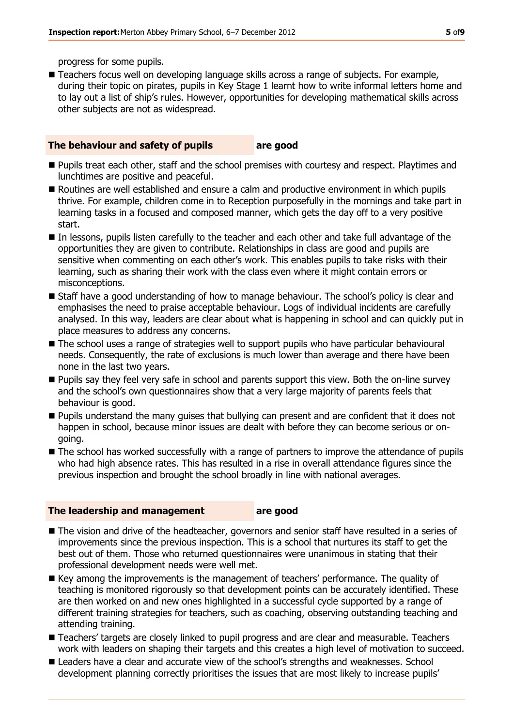progress for some pupils.

■ Teachers focus well on developing language skills across a range of subjects. For example, during their topic on pirates, pupils in Key Stage 1 learnt how to write informal letters home and to lay out a list of ship's rules. However, opportunities for developing mathematical skills across other subjects are not as widespread.

#### **The behaviour and safety of pupils are good**

- **Pupils treat each other, staff and the school premises with courtesy and respect. Playtimes and** lunchtimes are positive and peaceful.
- Routines are well established and ensure a calm and productive environment in which pupils thrive. For example, children come in to Reception purposefully in the mornings and take part in learning tasks in a focused and composed manner, which gets the day off to a very positive start.
- In lessons, pupils listen carefully to the teacher and each other and take full advantage of the opportunities they are given to contribute. Relationships in class are good and pupils are sensitive when commenting on each other's work. This enables pupils to take risks with their learning, such as sharing their work with the class even where it might contain errors or misconceptions.
- Staff have a good understanding of how to manage behaviour. The school's policy is clear and emphasises the need to praise acceptable behaviour. Logs of individual incidents are carefully analysed. In this way, leaders are clear about what is happening in school and can quickly put in place measures to address any concerns.
- The school uses a range of strategies well to support pupils who have particular behavioural needs. Consequently, the rate of exclusions is much lower than average and there have been none in the last two years.
- **Pupils say they feel very safe in school and parents support this view. Both the on-line survey** and the school's own questionnaires show that a very large majority of parents feels that behaviour is good.
- **Pupils understand the many quises that bullying can present and are confident that it does not** happen in school, because minor issues are dealt with before they can become serious or ongoing.
- The school has worked successfully with a range of partners to improve the attendance of pupils who had high absence rates. This has resulted in a rise in overall attendance figures since the previous inspection and brought the school broadly in line with national averages.

#### **The leadership and management are good**

- The vision and drive of the headteacher, governors and senior staff have resulted in a series of improvements since the previous inspection. This is a school that nurtures its staff to get the best out of them. Those who returned questionnaires were unanimous in stating that their professional development needs were well met.
- Key among the improvements is the management of teachers' performance. The quality of teaching is monitored rigorously so that development points can be accurately identified. These are then worked on and new ones highlighted in a successful cycle supported by a range of different training strategies for teachers, such as coaching, observing outstanding teaching and attending training.
- Teachers' targets are closely linked to pupil progress and are clear and measurable. Teachers work with leaders on shaping their targets and this creates a high level of motivation to succeed.
- **E** Leaders have a clear and accurate view of the school's strengths and weaknesses. School development planning correctly prioritises the issues that are most likely to increase pupils'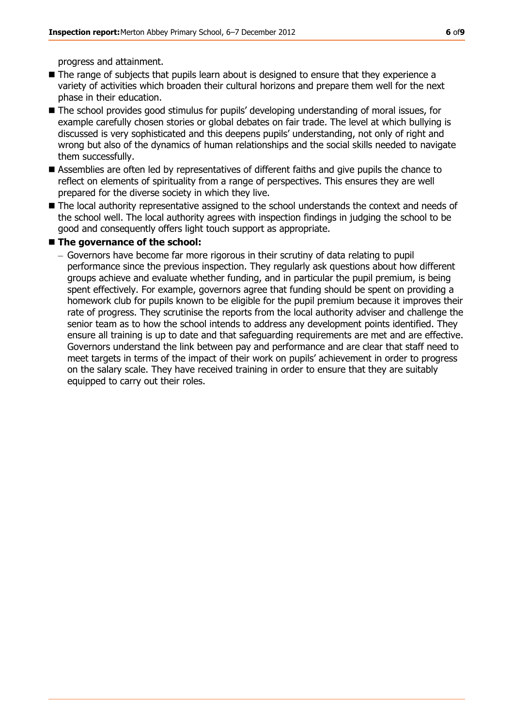progress and attainment.

- The range of subjects that pupils learn about is designed to ensure that they experience a variety of activities which broaden their cultural horizons and prepare them well for the next phase in their education.
- The school provides good stimulus for pupils' developing understanding of moral issues, for example carefully chosen stories or global debates on fair trade. The level at which bullying is discussed is very sophisticated and this deepens pupils' understanding, not only of right and wrong but also of the dynamics of human relationships and the social skills needed to navigate them successfully.
- Assemblies are often led by representatives of different faiths and give pupils the chance to reflect on elements of spirituality from a range of perspectives. This ensures they are well prepared for the diverse society in which they live.
- $\blacksquare$  The local authority representative assigned to the school understands the context and needs of the school well. The local authority agrees with inspection findings in judging the school to be good and consequently offers light touch support as appropriate.

#### ■ The governance of the school:

Governors have become far more rigorous in their scrutiny of data relating to pupil performance since the previous inspection. They regularly ask questions about how different groups achieve and evaluate whether funding, and in particular the pupil premium, is being spent effectively. For example, governors agree that funding should be spent on providing a homework club for pupils known to be eligible for the pupil premium because it improves their rate of progress. They scrutinise the reports from the local authority adviser and challenge the senior team as to how the school intends to address any development points identified. They ensure all training is up to date and that safeguarding requirements are met and are effective. Governors understand the link between pay and performance and are clear that staff need to meet targets in terms of the impact of their work on pupils' achievement in order to progress on the salary scale. They have received training in order to ensure that they are suitably equipped to carry out their roles.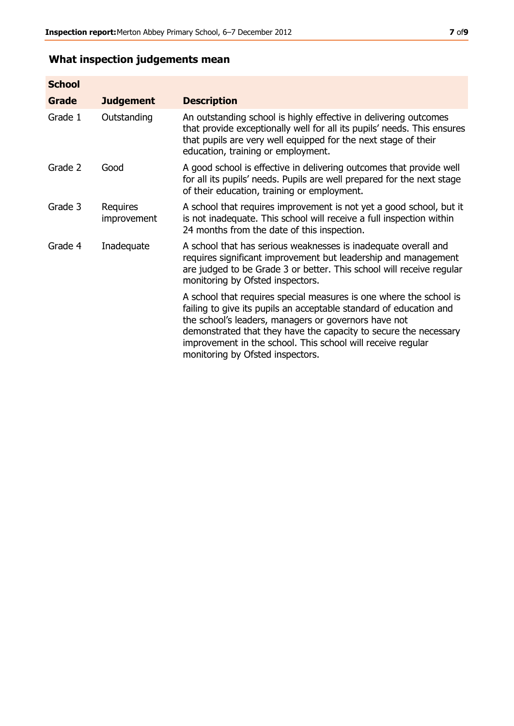## **What inspection judgements mean**

| <b>School</b> |                         |                                                                                                                                                                                                                                                                                                                                                                         |
|---------------|-------------------------|-------------------------------------------------------------------------------------------------------------------------------------------------------------------------------------------------------------------------------------------------------------------------------------------------------------------------------------------------------------------------|
| Grade         | <b>Judgement</b>        | <b>Description</b>                                                                                                                                                                                                                                                                                                                                                      |
| Grade 1       | Outstanding             | An outstanding school is highly effective in delivering outcomes<br>that provide exceptionally well for all its pupils' needs. This ensures<br>that pupils are very well equipped for the next stage of their<br>education, training or employment.                                                                                                                     |
| Grade 2       | Good                    | A good school is effective in delivering outcomes that provide well<br>for all its pupils' needs. Pupils are well prepared for the next stage<br>of their education, training or employment.                                                                                                                                                                            |
| Grade 3       | Requires<br>improvement | A school that requires improvement is not yet a good school, but it<br>is not inadequate. This school will receive a full inspection within<br>24 months from the date of this inspection.                                                                                                                                                                              |
| Grade 4       | Inadequate              | A school that has serious weaknesses is inadequate overall and<br>requires significant improvement but leadership and management<br>are judged to be Grade 3 or better. This school will receive regular<br>monitoring by Ofsted inspectors.                                                                                                                            |
|               |                         | A school that requires special measures is one where the school is<br>failing to give its pupils an acceptable standard of education and<br>the school's leaders, managers or governors have not<br>demonstrated that they have the capacity to secure the necessary<br>improvement in the school. This school will receive regular<br>monitoring by Ofsted inspectors. |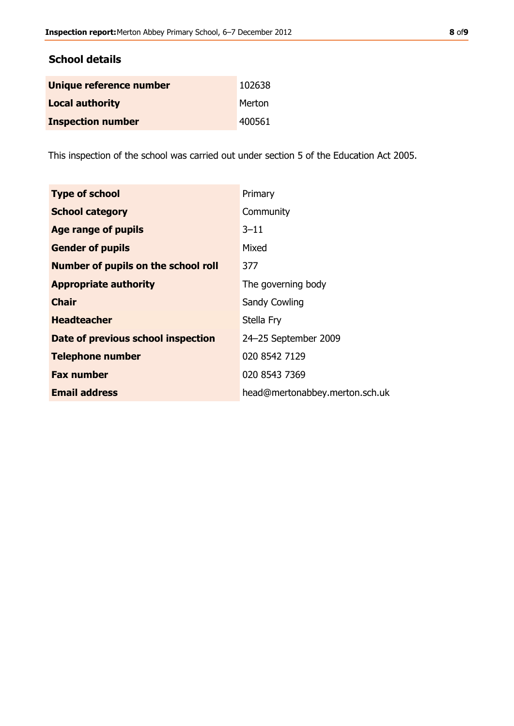#### **School details**

| Unique reference number  | 102638 |
|--------------------------|--------|
| <b>Local authority</b>   | Merton |
| <b>Inspection number</b> | 400561 |

This inspection of the school was carried out under section 5 of the Education Act 2005.

| <b>Type of school</b>                      | Primary                        |
|--------------------------------------------|--------------------------------|
| <b>School category</b>                     | Community                      |
| Age range of pupils                        | $3 - 11$                       |
| <b>Gender of pupils</b>                    | Mixed                          |
| <b>Number of pupils on the school roll</b> | 377                            |
| <b>Appropriate authority</b>               | The governing body             |
| <b>Chair</b>                               | <b>Sandy Cowling</b>           |
| <b>Headteacher</b>                         | Stella Fry                     |
| Date of previous school inspection         | 24-25 September 2009           |
| <b>Telephone number</b>                    | 020 8542 7129                  |
| <b>Fax number</b>                          | 020 8543 7369                  |
| <b>Email address</b>                       | head@mertonabbey.merton.sch.uk |